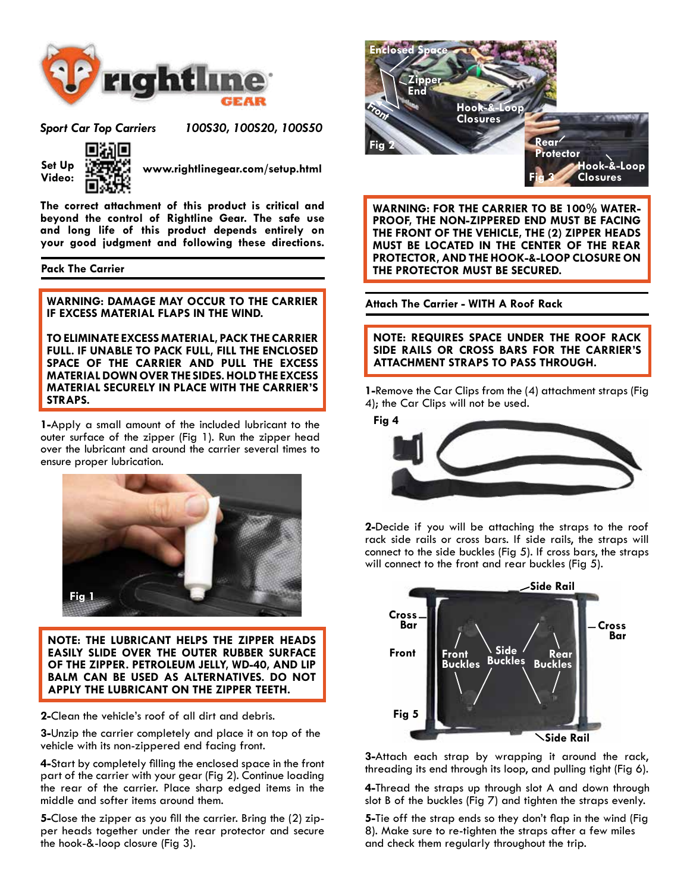

*Sport Car Top Carriers 100S30, 100S20, 100S50* 



**Set Up** Set Up Set Weww.rightlinegear.com/setup.html

**The correct attachment of this product is critical and beyond the control of Rightline Gear. The safe use and long life of this product depends entirely on your good judgment and following these directions.**

### **Pack The Carrier**

**WARNING: DAMAGE MAY OCCUR TO THE CARRIER IF EXCESS MATERIAL FLAPS IN THE WIND.** 

**TO ELIMINATE EXCESS MATERIAL, PACK THE CARRIER FULL. IF UNABLE TO PACK FULL, FILL THE ENCLOSED SPACE OF THE CARRIER AND PULL THE EXCESS MATERIAL DOWN OVER THE SIDES. HOLD THE EXCESS MATERIAL SECURELY IN PLACE WITH THE CARRIER'S STRAPS.**

**1-**Apply a small amount of the included lubricant to the outer surface of the zipper (Fig 1). Run the zipper head over the lubricant and around the carrier several times to ensure proper lubrication.



**NOTE: THE LUBRICANT HELPS THE ZIPPER HEADS EASILY SLIDE OVER THE OUTER RUBBER SURFACE OF THE ZIPPER. PETROLEUM JELLY, WD-40, AND LIP BALM CAN BE USED AS ALTERNATIVES. DO NOT APPLY THE LUBRICANT ON THE ZIPPER TEETH.**

**2-**Clean the vehicle's roof of all dirt and debris.

**3-**Unzip the carrier completely and place it on top of the vehicle with its non-zippered end facing front.

**4-**Start by completely filling the enclosed space in the front part of the carrier with your gear (Fig 2). Continue loading the rear of the carrier. Place sharp edged items in the middle and softer items around them.

**5-**Close the zipper as you fill the carrier. Bring the (2) zip- per heads together under the rear protector and secure the hook-&-loop closure (Fig 3).



**WARNING: FOR THE CARRIER TO BE 100% WATER-PROOF, THE NON-ZIPPERED END MUST BE FACING THE FRONT OF THE VEHICLE, THE (2) ZIPPER HEADS MUST BE LOCATED IN THE CENTER OF THE REAR PROTECTOR, AND THE HOOK-&-LOOP CLOSURE ON THE PROTECTOR MUST BE SECURED.**

**Attach The Carrier - WITH A Roof Rack**

**NOTE: REQUIRES SPACE UNDER THE ROOF RACK SIDE RAILS OR CROSS BARS FOR THE CARRIER'S ATTACHMENT STRAPS TO PASS THROUGH.**

**1-**Remove the Car Clips from the (4) attachment straps (Fig 4); the Car Clips will not be used.



**2-**Decide if you will be attaching the straps to the roof rack side rails or cross bars. If side rails, the straps will connect to the side buckles (Fig 5). If cross bars, the straps will connect to the front and rear buckles (Fig 5).



**3-**Attach each strap by wrapping it around the rack, threading its end through its loop, and pulling tight (Fig 6).

**4-**Thread the straps up through slot A and down through slot B of the buckles (Fig 7) and tighten the straps evenly.

**5-**Tie off the strap ends so they don't flap in the wind (Fig 8). Make sure to re-tighten the straps after a few miles and check them regularly throughout the trip.